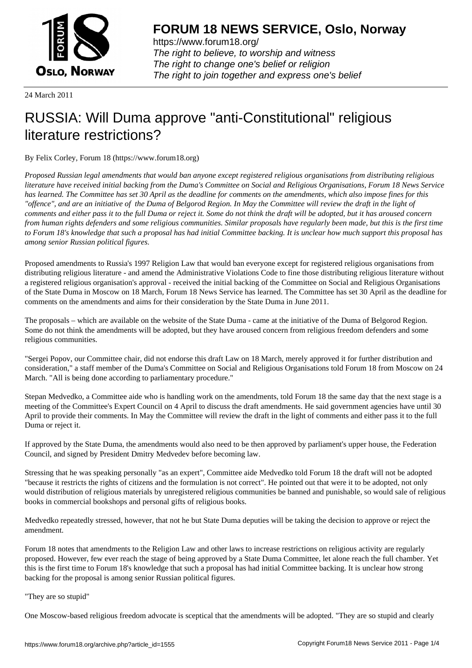

https://www.forum18.org/ The right to believe, to worship and witness The right to change one's belief or religion [The right to join together a](https://www.forum18.org/)nd express one's belief

24 March 2011

# [RUSSIA: Will D](https://www.forum18.org)uma approve "anti-Constitutional" religious literature restrictions?

By Felix Corley, Forum 18 (https://www.forum18.org)

*Proposed Russian legal amendments that would ban anyone except registered religious organisations from distributing religious literature have received initial backing from the Duma's Committee on Social and Religious Organisations, Forum 18 News Service has learned. The Committee has set 30 April as the deadline for comments on the amendments, which also impose fines for this "offence", and are an initiative of the Duma of Belgorod Region. In May the Committee will review the draft in the light of comments and either pass it to the full Duma or reject it. Some do not think the draft will be adopted, but it has aroused concern from human rights defenders and some religious communities. Similar proposals have regularly been made, but this is the first time to Forum 18's knowledge that such a proposal has had initial Committee backing. It is unclear how much support this proposal has among senior Russian political figures.*

Proposed amendments to Russia's 1997 Religion Law that would ban everyone except for registered religious organisations from distributing religious literature - and amend the Administrative Violations Code to fine those distributing religious literature without a registered religious organisation's approval - received the initial backing of the Committee on Social and Religious Organisations of the State Duma in Moscow on 18 March, Forum 18 News Service has learned. The Committee has set 30 April as the deadline for comments on the amendments and aims for their consideration by the State Duma in June 2011.

The proposals – which are available on the website of the State Duma - came at the initiative of the Duma of Belgorod Region. Some do not think the amendments will be adopted, but they have aroused concern from religious freedom defenders and some religious communities.

"Sergei Popov, our Committee chair, did not endorse this draft Law on 18 March, merely approved it for further distribution and consideration," a staff member of the Duma's Committee on Social and Religious Organisations told Forum 18 from Moscow on 24 March. "All is being done according to parliamentary procedure."

Stepan Medvedko, a Committee aide who is handling work on the amendments, told Forum 18 the same day that the next stage is a meeting of the Committee's Expert Council on 4 April to discuss the draft amendments. He said government agencies have until 30 April to provide their comments. In May the Committee will review the draft in the light of comments and either pass it to the full Duma or reject it.

If approved by the State Duma, the amendments would also need to be then approved by parliament's upper house, the Federation Council, and signed by President Dmitry Medvedev before becoming law.

Stressing that he was speaking personally "as an expert", Committee aide Medvedko told Forum 18 the draft will not be adopted "because it restricts the rights of citizens and the formulation is not correct". He pointed out that were it to be adopted, not only would distribution of religious materials by unregistered religious communities be banned and punishable, so would sale of religious books in commercial bookshops and personal gifts of religious books.

Medvedko repeatedly stressed, however, that not he but State Duma deputies will be taking the decision to approve or reject the amendment.

Forum 18 notes that amendments to the Religion Law and other laws to increase restrictions on religious activity are regularly proposed. However, few ever reach the stage of being approved by a State Duma Committee, let alone reach the full chamber. Yet this is the first time to Forum 18's knowledge that such a proposal has had initial Committee backing. It is unclear how strong backing for the proposal is among senior Russian political figures.

#### "They are so stupid"

One Moscow-based religious freedom advocate is sceptical that the amendments will be adopted. "They are so stupid and clearly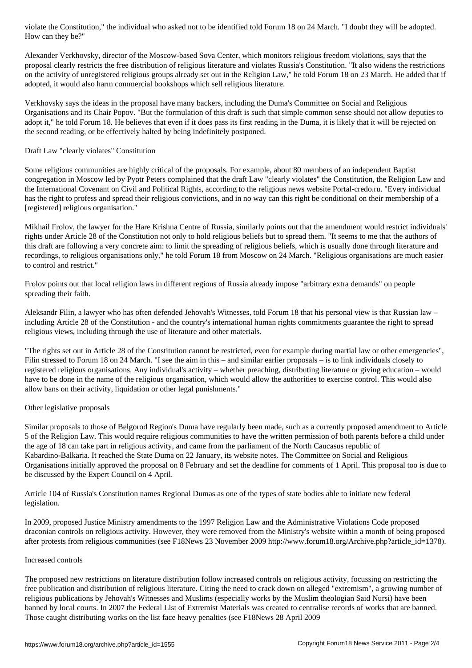# How can they be?" Alexander Verkhovsky, director of the Moscow-based Sova Center, which monitors religious freedom violations, says that the proposal clearly restricts the free distribution of religious literature and violates Russia's Constitution. "It also widens the restrictions on the activity of unregistered religious groups already set out in the Religion Law," he told Forum 18 on 23 March. He added that if

Verkhovsky says the ideas in the proposal have many backers, including the Duma's Committee on Social and Religious Organisations and its Chair Popov. "But the formulation of this draft is such that simple common sense should not allow deputies to adopt it," he told Forum 18. He believes that even if it does pass its first reading in the Duma, it is likely that it will be rejected on the second reading, or be effectively halted by being indefinitely postponed.

## Draft Law "clearly violates" Constitution

adopted, it would also harm commercial bookshops which sell religious literature.

Some religious communities are highly critical of the proposals. For example, about 80 members of an independent Baptist congregation in Moscow led by Pyotr Peters complained that the draft Law "clearly violates" the Constitution, the Religion Law and the International Covenant on Civil and Political Rights, according to the religious news website Portal-credo.ru. "Every individual has the right to profess and spread their religious convictions, and in no way can this right be conditional on their membership of a [registered] religious organisation."

Mikhail Frolov, the lawyer for the Hare Krishna Centre of Russia, similarly points out that the amendment would restrict individuals' rights under Article 28 of the Constitution not only to hold religious beliefs but to spread them. "It seems to me that the authors of this draft are following a very concrete aim: to limit the spreading of religious beliefs, which is usually done through literature and recordings, to religious organisations only," he told Forum 18 from Moscow on 24 March. "Religious organisations are much easier to control and restrict."

Frolov points out that local religion laws in different regions of Russia already impose "arbitrary extra demands" on people spreading their faith.

Aleksandr Filin, a lawyer who has often defended Jehovah's Witnesses, told Forum 18 that his personal view is that Russian law – including Article 28 of the Constitution - and the country's international human rights commitments guarantee the right to spread religious views, including through the use of literature and other materials.

"The rights set out in Article 28 of the Constitution cannot be restricted, even for example during martial law or other emergencies", Filin stressed to Forum 18 on 24 March. "I see the aim in this – and similar earlier proposals – is to link individuals closely to registered religious organisations. Any individual's activity – whether preaching, distributing literature or giving education – would have to be done in the name of the religious organisation, which would allow the authorities to exercise control. This would also allow bans on their activity, liquidation or other legal punishments."

#### Other legislative proposals

Similar proposals to those of Belgorod Region's Duma have regularly been made, such as a currently proposed amendment to Article 5 of the Religion Law. This would require religious communities to have the written permission of both parents before a child under the age of 18 can take part in religious activity, and came from the parliament of the North Caucasus republic of Kabardino-Balkaria. It reached the State Duma on 22 January, its website notes. The Committee on Social and Religious Organisations initially approved the proposal on 8 February and set the deadline for comments of 1 April. This proposal too is due to be discussed by the Expert Council on 4 April.

Article 104 of Russia's Constitution names Regional Dumas as one of the types of state bodies able to initiate new federal legislation.

In 2009, proposed Justice Ministry amendments to the 1997 Religion Law and the Administrative Violations Code proposed draconian controls on religious activity. However, they were removed from the Ministry's website within a month of being proposed after protests from religious communities (see F18News 23 November 2009 http://www.forum18.org/Archive.php?article\_id=1378).

#### Increased controls

The proposed new restrictions on literature distribution follow increased controls on religious activity, focussing on restricting the free publication and distribution of religious literature. Citing the need to crack down on alleged "extremism", a growing number of religious publications by Jehovah's Witnesses and Muslims (especially works by the Muslim theologian Said Nursi) have been banned by local courts. In 2007 the Federal List of Extremist Materials was created to centralise records of works that are banned. Those caught distributing works on the list face heavy penalties (see F18News 28 April 2009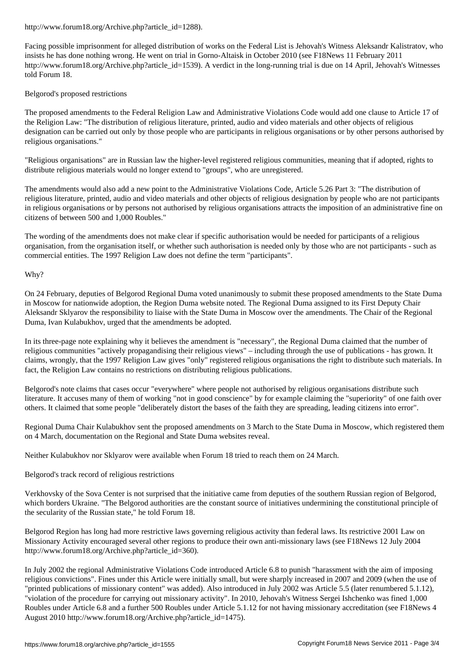Facing possible imprisonment for alleged distribution of works on the Federal List is Jehovah's Witness Aleksandr Kalistratov, who insists he has done nothing wrong. He went on trial in Gorno-Altaisk in October 2010 (see F18News 11 February 2011 http://www.forum18.org/Archive.php?article\_id=1539). A verdict in the long-running trial is due on 14 April, Jehovah's Witnesses told Forum 18.

### Belgorod's proposed restrictions

The proposed amendments to the Federal Religion Law and Administrative Violations Code would add one clause to Article 17 of the Religion Law: "The distribution of religious literature, printed, audio and video materials and other objects of religious designation can be carried out only by those people who are participants in religious organisations or by other persons authorised by religious organisations."

"Religious organisations" are in Russian law the higher-level registered religious communities, meaning that if adopted, rights to distribute religious materials would no longer extend to "groups", who are unregistered.

The amendments would also add a new point to the Administrative Violations Code, Article 5.26 Part 3: "The distribution of religious literature, printed, audio and video materials and other objects of religious designation by people who are not participants in religious organisations or by persons not authorised by religious organisations attracts the imposition of an administrative fine on citizens of between 500 and 1,000 Roubles."

The wording of the amendments does not make clear if specific authorisation would be needed for participants of a religious organisation, from the organisation itself, or whether such authorisation is needed only by those who are not participants - such as commercial entities. The 1997 Religion Law does not define the term "participants".

Why?

On 24 February, deputies of Belgorod Regional Duma voted unanimously to submit these proposed amendments to the State Duma in Moscow for nationwide adoption, the Region Duma website noted. The Regional Duma assigned to its First Deputy Chair Aleksandr Sklyarov the responsibility to liaise with the State Duma in Moscow over the amendments. The Chair of the Regional Duma, Ivan Kulabukhov, urged that the amendments be adopted.

In its three-page note explaining why it believes the amendment is "necessary", the Regional Duma claimed that the number of religious communities "actively propagandising their religious views" – including through the use of publications - has grown. It claims, wrongly, that the 1997 Religion Law gives "only" registered religious organisations the right to distribute such materials. In fact, the Religion Law contains no restrictions on distributing religious publications.

Belgorod's note claims that cases occur "everywhere" where people not authorised by religious organisations distribute such literature. It accuses many of them of working "not in good conscience" by for example claiming the "superiority" of one faith over others. It claimed that some people "deliberately distort the bases of the faith they are spreading, leading citizens into error".

Regional Duma Chair Kulabukhov sent the proposed amendments on 3 March to the State Duma in Moscow, which registered them on 4 March, documentation on the Regional and State Duma websites reveal.

Neither Kulabukhov nor Sklyarov were available when Forum 18 tried to reach them on 24 March.

#### Belgorod's track record of religious restrictions

Verkhovsky of the Sova Center is not surprised that the initiative came from deputies of the southern Russian region of Belgorod, which borders Ukraine. "The Belgorod authorities are the constant source of initiatives undermining the constitutional principle of the secularity of the Russian state," he told Forum 18.

Belgorod Region has long had more restrictive laws governing religious activity than federal laws. Its restrictive 2001 Law on Missionary Activity encouraged several other regions to produce their own anti-missionary laws (see F18News 12 July 2004 http://www.forum18.org/Archive.php?article\_id=360).

In July 2002 the regional Administrative Violations Code introduced Article 6.8 to punish "harassment with the aim of imposing religious convictions". Fines under this Article were initially small, but were sharply increased in 2007 and 2009 (when the use of "printed publications of missionary content" was added). Also introduced in July 2002 was Article 5.5 (later renumbered 5.1.12), "violation of the procedure for carrying out missionary activity". In 2010, Jehovah's Witness Sergei Ishchenko was fined 1,000 Roubles under Article 6.8 and a further 500 Roubles under Article 5.1.12 for not having missionary accreditation (see F18News 4 August 2010 http://www.forum18.org/Archive.php?article\_id=1475).